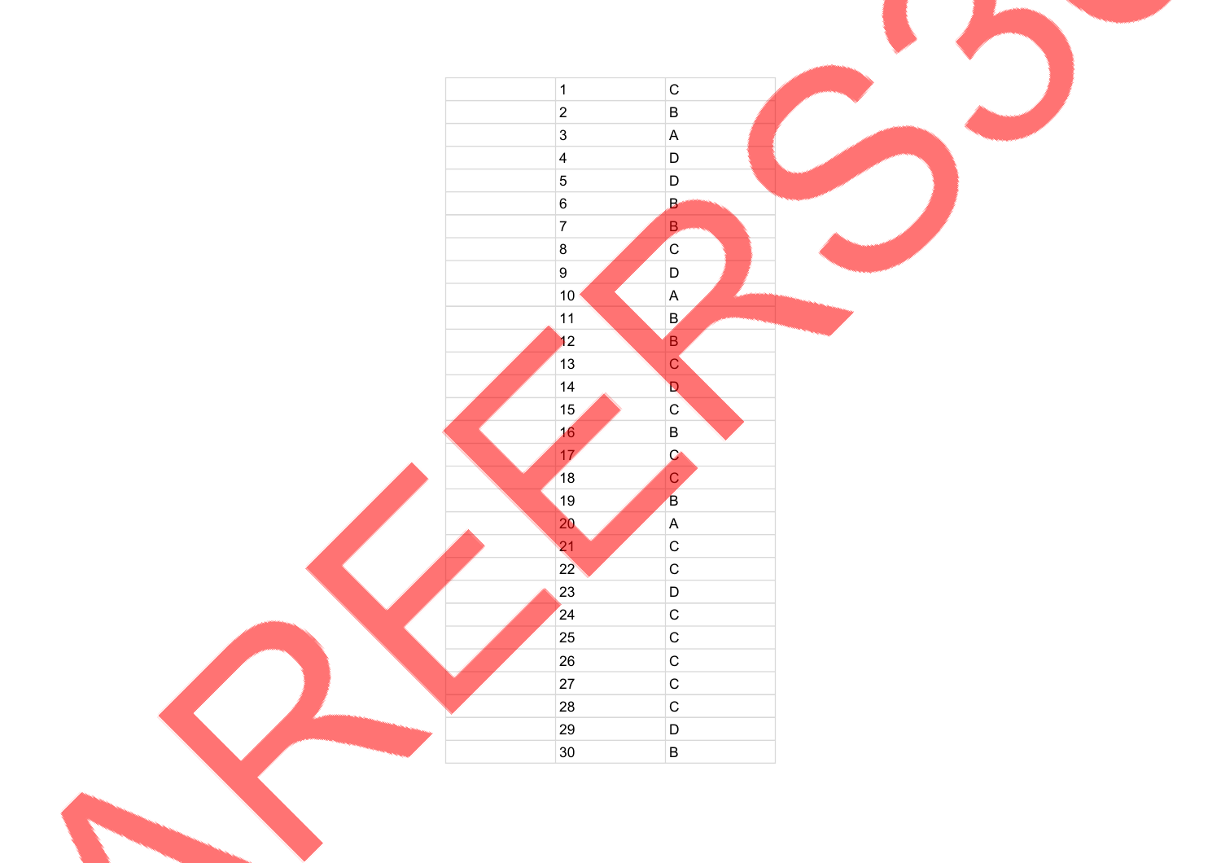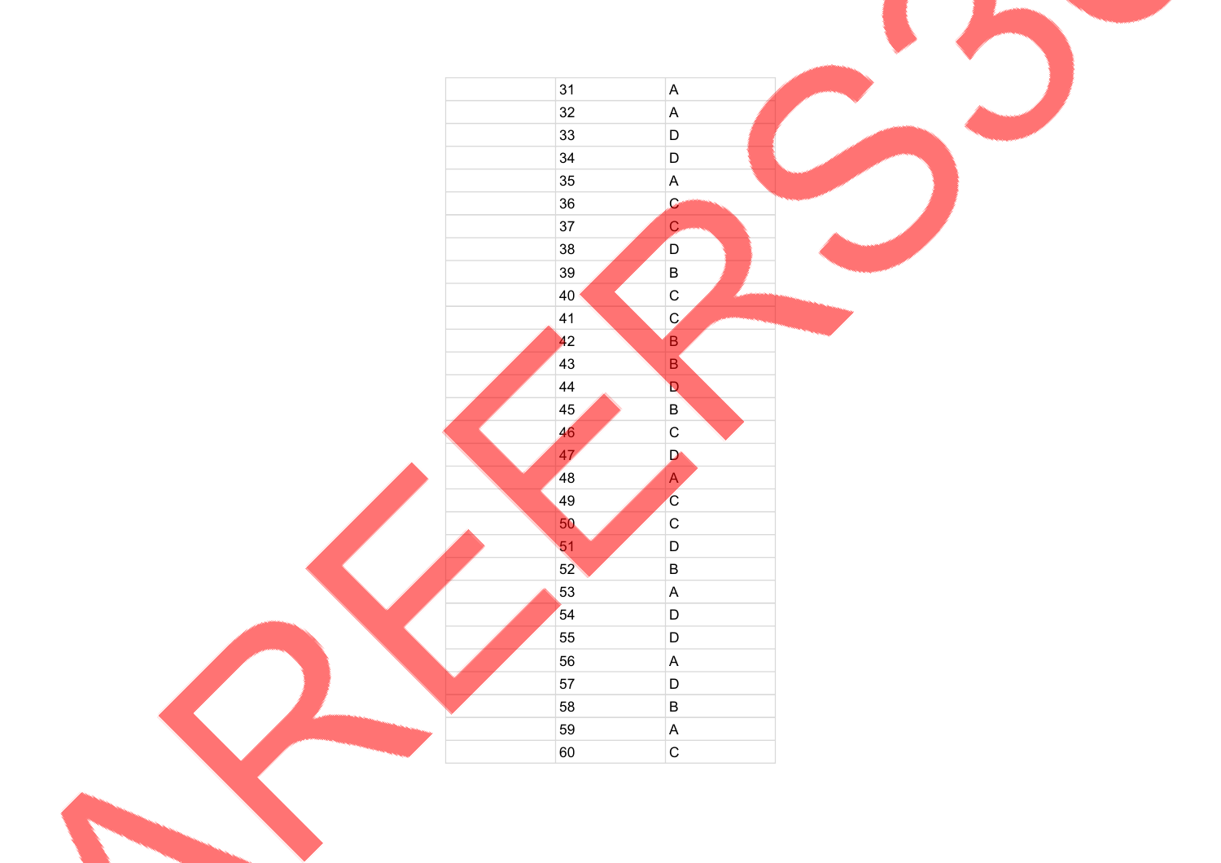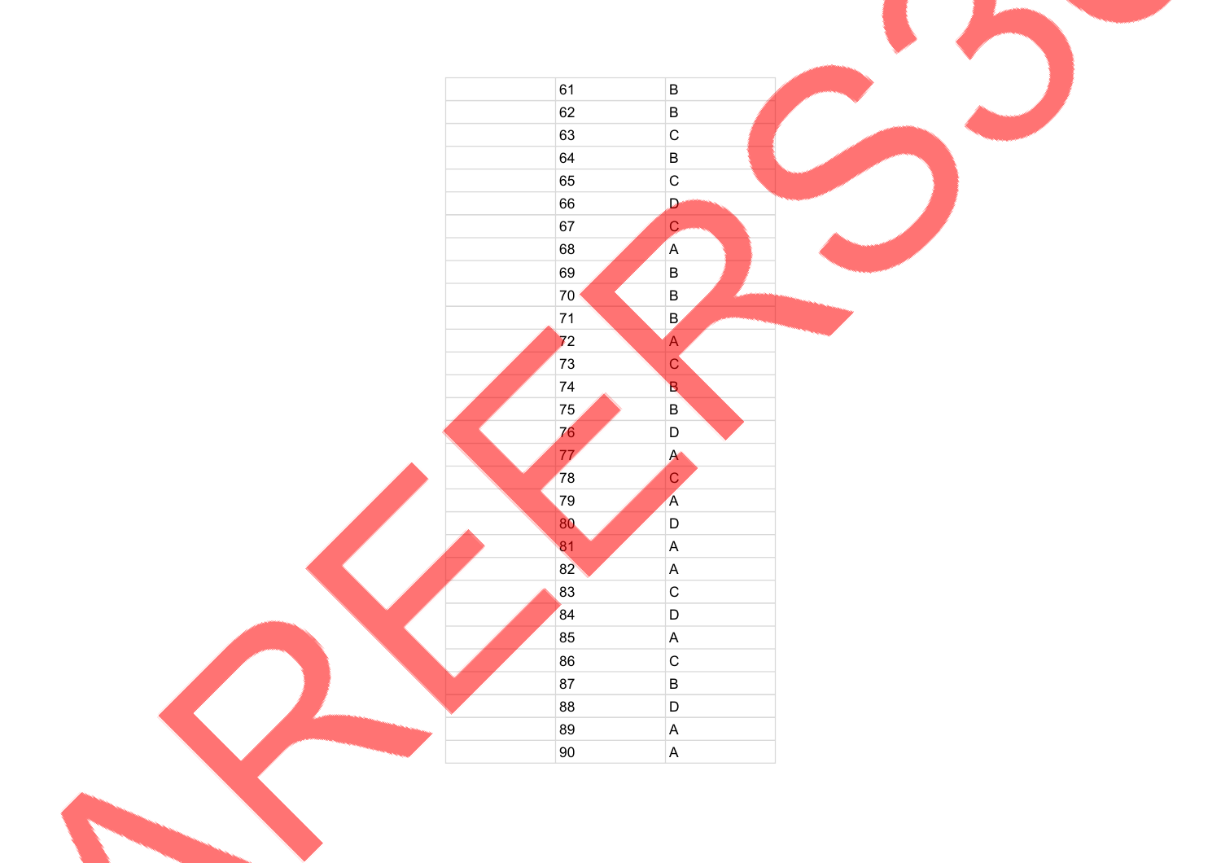